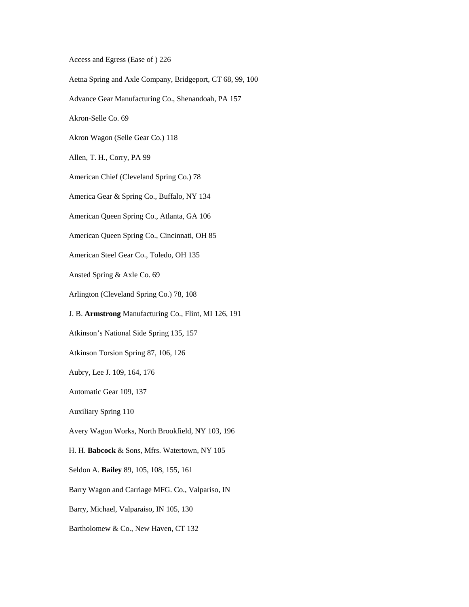Access and Egress (Ease of ) 226

Aetna Spring and Axle Company, Bridgeport, CT 68, 99, 100

Advance Gear Manufacturing Co., Shenandoah, PA 157

Akron-Selle Co. 69

Akron Wagon (Selle Gear Co.) 118

Allen, T. H., Corry, PA 99

American Chief (Cleveland Spring Co.) 78

America Gear & Spring Co., Buffalo, NY 134

American Queen Spring Co., Atlanta, GA 106

American Queen Spring Co., Cincinnati, OH 85

American Steel Gear Co., Toledo, OH 135

Ansted Spring & Axle Co. 69

Arlington (Cleveland Spring Co.) 78, 108

J. B. **Armstrong** Manufacturing Co., Flint, MI 126, 191

Atkinson's National Side Spring 135, 157

Atkinson Torsion Spring 87, 106, 126

Aubry, Lee J. 109, 164, 176

Automatic Gear 109, 137

Auxiliary Spring 110

Avery Wagon Works, North Brookfield, NY 103, 196

H. H. **Babcock** & Sons, Mfrs. Watertown, NY 105

Seldon A. **Bailey** 89, 105, 108, 155, 161

Barry Wagon and Carriage MFG. Co., Valpariso, IN

Barry, Michael, Valparaiso, IN 105, 130

Bartholomew & Co., New Haven, CT 132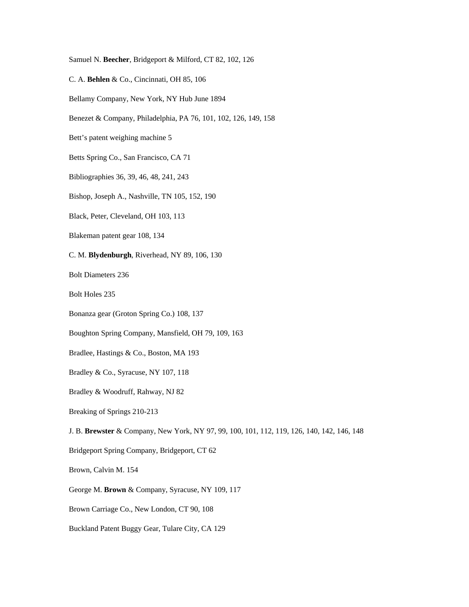Samuel N. **Beecher**, Bridgeport & Milford, CT 82, 102, 126

C. A. **Behlen** & Co., Cincinnati, OH 85, 106

Bellamy Company, New York, NY Hub June 1894

Benezet & Company, Philadelphia, PA 76, 101, 102, 126, 149, 158

Bett's patent weighing machine 5

Betts Spring Co., San Francisco, CA 71

Bibliographies 36, 39, 46, 48, 241, 243

Bishop, Joseph A., Nashville, TN 105, 152, 190

Black, Peter, Cleveland, OH 103, 113

Blakeman patent gear 108, 134

C. M. **Blydenburgh**, Riverhead, NY 89, 106, 130

Bolt Diameters 236

Bolt Holes 235

Bonanza gear (Groton Spring Co.) 108, 137

Boughton Spring Company, Mansfield, OH 79, 109, 163

Bradlee, Hastings & Co., Boston, MA 193

Bradley & Co., Syracuse, NY 107, 118

Bradley & Woodruff, Rahway, NJ 82

Breaking of Springs 210-213

J. B. **Brewster** & Company, New York, NY 97, 99, 100, 101, 112, 119, 126, 140, 142, 146, 148

Bridgeport Spring Company, Bridgeport, CT 62

Brown, Calvin M. 154

George M. **Brown** & Company, Syracuse, NY 109, 117

Brown Carriage Co., New London, CT 90, 108

Buckland Patent Buggy Gear, Tulare City, CA 129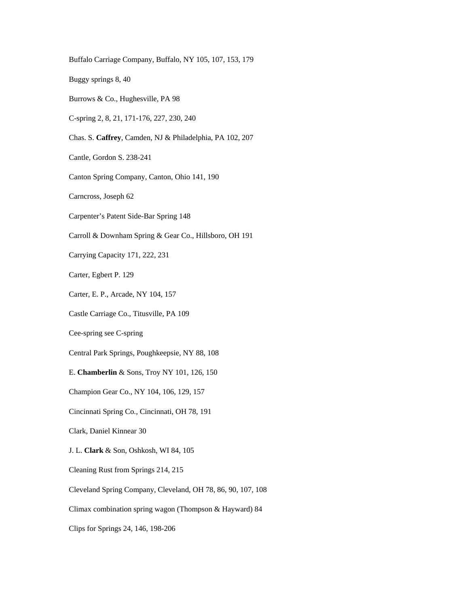Buggy springs 8, 40 Burrows & Co., Hughesville, PA 98 C-spring 2, 8, 21, 171-176, 227, 230, 240 Chas. S. **Caffrey**, Camden, NJ & Philadelphia, PA 102, 207 Cantle, Gordon S. 238-241 Canton Spring Company, Canton, Ohio 141, 190 Carncross, Joseph 62 Carpenter's Patent Side-Bar Spring 148 Carroll & Downham Spring & Gear Co., Hillsboro, OH 191 Carrying Capacity 171, 222, 231 Carter, Egbert P. 129 Carter, E. P., Arcade, NY 104, 157 Castle Carriage Co., Titusville, PA 109 Cee-spring see C-spring Central Park Springs, Poughkeepsie, NY 88, 108 E. **Chamberlin** & Sons, Troy NY 101, 126, 150 Champion Gear Co., NY 104, 106, 129, 157 Cincinnati Spring Co., Cincinnati, OH 78, 191 Clark, Daniel Kinnear 30 J. L. **Clark** & Son, Oshkosh, WI 84, 105 Cleaning Rust from Springs 214, 215 Cleveland Spring Company, Cleveland, OH 78, 86, 90, 107, 108 Climax combination spring wagon (Thompson & Hayward) 84 Clips for Springs 24, 146, 198-206

Buffalo Carriage Company, Buffalo, NY 105, 107, 153, 179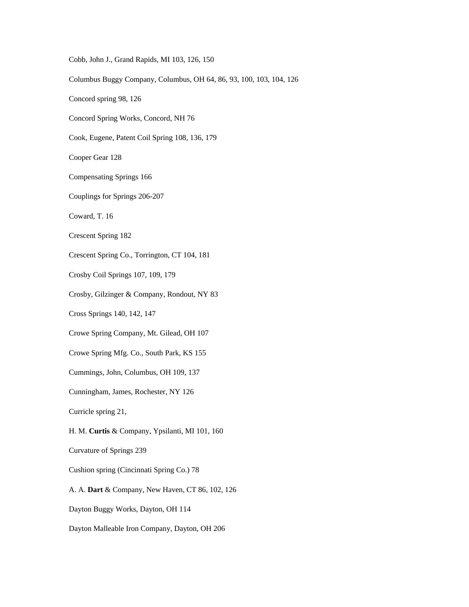Cobb, John J., Grand Rapids, MI 103, 126, 150

Columbus Buggy Company, Columbus, OH 64, 86, 93, 100, 103, 104, 126

Concord spring 98, 126

Concord Spring Works, Concord, NH 76

Cook, Eugene, Patent Coil Spring 108, 136, 179

Cooper Gear 128

Compensating Springs 166

Couplings for Springs 206-207

Coward, T. 16

Crescent Spring 182

Crescent Spring Co., Torrington, CT 104, 181

Crosby Coil Springs 107, 109, 179

Crosby, Gilzinger & Company, Rondout, NY 83

Cross Springs 140, 142, 147

Crowe Spring Company, Mt. Gilead, OH 107

Crowe Spring Mfg. Co., South Park, KS 155

Cummings, John, Columbus, OH 109, 137

Cunningham, James, Rochester, NY 126

Curricle spring 21,

H. M. **Curtis** & Company, Ypsilanti, MI 101, 160

Curvature of Springs 239

Cushion spring (Cincinnati Spring Co.) 78

A. A. **Dart** & Company, New Haven, CT 86, 102, 126

Dayton Buggy Works, Dayton, OH 114

Dayton Malleable Iron Company, Dayton, OH 206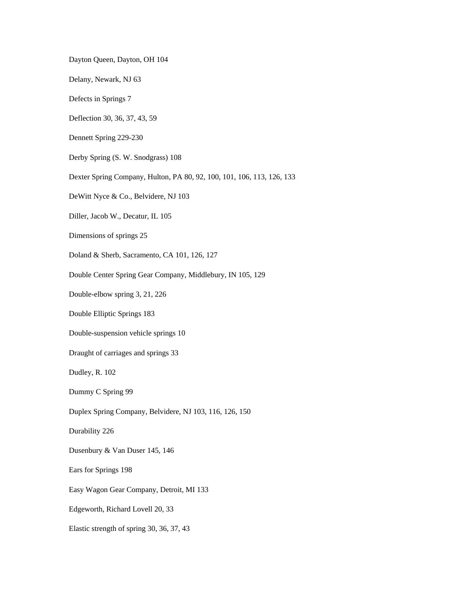Dayton Queen, Dayton, OH 104

Delany, Newark, NJ 63

Defects in Springs 7

Deflection 30, 36, 37, 43, 59

Dennett Spring 229-230

Derby Spring (S. W. Snodgrass) 108

Dexter Spring Company, Hulton, PA 80, 92, 100, 101, 106, 113, 126, 133

DeWitt Nyce & Co., Belvidere, NJ 103

Diller, Jacob W., Decatur, IL 105

Dimensions of springs 25

Doland & Sherb, Sacramento, CA 101, 126, 127

Double Center Spring Gear Company, Middlebury, IN 105, 129

Double-elbow spring 3, 21, 226

Double Elliptic Springs 183

Double-suspension vehicle springs 10

Draught of carriages and springs 33

Dudley, R. 102

Dummy C Spring 99

Duplex Spring Company, Belvidere, NJ 103, 116, 126, 150

Durability 226

Dusenbury & Van Duser 145, 146

Ears for Springs 198

Easy Wagon Gear Company, Detroit, MI 133

Edgeworth, Richard Lovell 20, 33

Elastic strength of spring 30, 36, 37, 43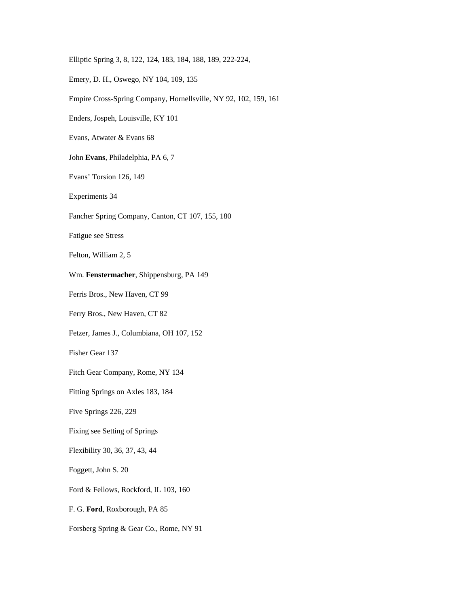Elliptic Spring 3, 8, 122, 124, 183, 184, 188, 189, 222-224,

Emery, D. H., Oswego, NY 104, 109, 135

Empire Cross-Spring Company, Hornellsville, NY 92, 102, 159, 161

Enders, Jospeh, Louisville, KY 101

Evans, Atwater & Evans 68

John **Evans**, Philadelphia, PA 6, 7

Evans' Torsion 126, 149

Experiments 34

Fancher Spring Company, Canton, CT 107, 155, 180

Fatigue see Stress

Felton, William 2, 5

Wm. **Fenstermacher**, Shippensburg, PA 149

Ferris Bros., New Haven, CT 99

Ferry Bros., New Haven, CT 82

Fetzer, James J., Columbiana, OH 107, 152

Fisher Gear 137

Fitch Gear Company, Rome, NY 134

Fitting Springs on Axles 183, 184

Five Springs 226, 229

Fixing see Setting of Springs

Flexibility 30, 36, 37, 43, 44

Foggett, John S. 20

Ford & Fellows, Rockford, IL 103, 160

F. G. **Ford**, Roxborough, PA 85

Forsberg Spring & Gear Co., Rome, NY 91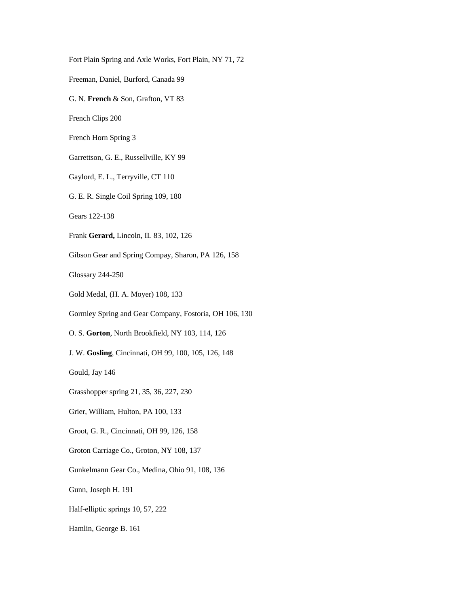Fort Plain Spring and Axle Works, Fort Plain, NY 71, 72 Freeman, Daniel, Burford, Canada 99 G. N. **French** & Son, Grafton, VT 83 French Clips 200 French Horn Spring 3 Garrettson, G. E., Russellville, KY 99 Gaylord, E. L., Terryville, CT 110 G. E. R. Single Coil Spring 109, 180 Gears 122-138 Frank **Gerard,** Lincoln, IL 83, 102, 126 Gibson Gear and Spring Compay, Sharon, PA 126, 158 Glossary 244-250 Gold Medal, (H. A. Moyer) 108, 133 Gormley Spring and Gear Company, Fostoria, OH 106, 130 O. S. **Gorton**, North Brookfield, NY 103, 114, 126 J. W. **Gosling**, Cincinnati, OH 99, 100, 105, 126, 148 Gould, Jay 146 Grasshopper spring 21, 35, 36, 227, 230 Grier, William, Hulton, PA 100, 133 Groot, G. R., Cincinnati, OH 99, 126, 158 Groton Carriage Co., Groton, NY 108, 137 Gunkelmann Gear Co., Medina, Ohio 91, 108, 136 Gunn, Joseph H. 191 Half-elliptic springs 10, 57, 222 Hamlin, George B. 161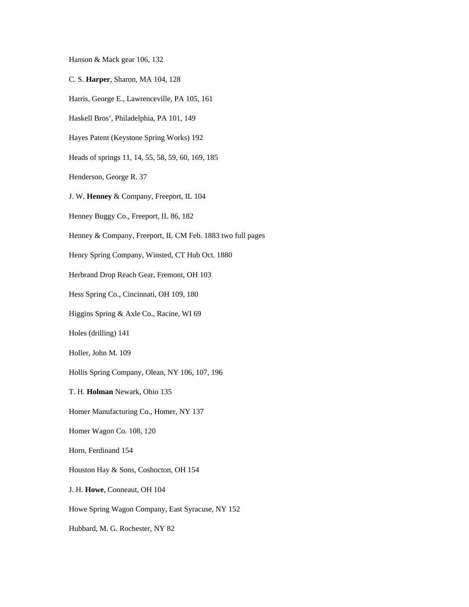Hanson & Mack gear 106, 132

- C. S. **Harper**, Sharon, MA 104, 128
- Harris, George E., Lawrenceville, PA 105, 161
- Haskell Bros', Philadelphia, PA 101, 149
- Hayes Patent (Keystone Spring Works) 192
- Heads of springs 11, 14, 55, 58, 59, 60, 169, 185
- Henderson, George R. 37
- J. W. **Henney** & Company, Freeport, IL 104
- Henney Buggy Co., Freeport, IL 86, 182
- Henney & Company, Freeport, IL CM Feb. 1883 two full pages
- Henry Spring Company, Winsted, CT Hub Oct. 1880
- Herbrand Drop Reach Gear, Fremont, OH 103
- Hess Spring Co., Cincinnati, OH 109, 180
- Higgins Spring & Axle Co., Racine, WI 69
- Holes (drilling) 141
- Holler, John M. 109
- Hollis Spring Company, Olean, NY 106, 107, 196
- T. H. **Holman** Newark, Ohio 135
- Homer Manufacturing Co., Homer, NY 137
- Homer Wagon Co. 108, 120
- Horn, Ferdinand 154
- Houston Hay & Sons, Coshocton, OH 154
- J. H. **Howe**, Conneaut, OH 104
- Howe Spring Wagon Company, East Syracuse, NY 152
- Hubbard, M. G. Rochester, NY 82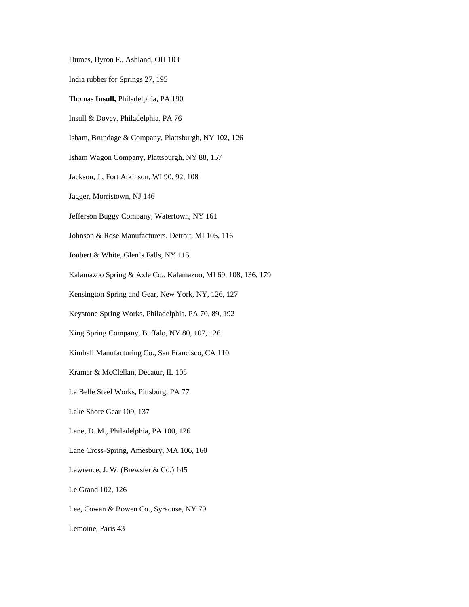Humes, Byron F., Ashland, OH 103

India rubber for Springs 27, 195

Thomas **Insull,** Philadelphia, PA 190

Insull & Dovey, Philadelphia, PA 76

Isham, Brundage & Company, Plattsburgh, NY 102, 126

Isham Wagon Company, Plattsburgh, NY 88, 157

Jackson, J., Fort Atkinson, WI 90, 92, 108

Jagger, Morristown, NJ 146

Jefferson Buggy Company, Watertown, NY 161

Johnson & Rose Manufacturers, Detroit, MI 105, 116

Joubert & White, Glen's Falls, NY 115

Kalamazoo Spring & Axle Co., Kalamazoo, MI 69, 108, 136, 179

Kensington Spring and Gear, New York, NY, 126, 127

Keystone Spring Works, Philadelphia, PA 70, 89, 192

King Spring Company, Buffalo, NY 80, 107, 126

Kimball Manufacturing Co., San Francisco, CA 110

Kramer & McClellan, Decatur, IL 105

La Belle Steel Works, Pittsburg, PA 77

Lake Shore Gear 109, 137

Lane, D. M., Philadelphia, PA 100, 126

Lane Cross-Spring, Amesbury, MA 106, 160

Lawrence, J. W. (Brewster & Co.) 145

Le Grand 102, 126

Lee, Cowan & Bowen Co., Syracuse, NY 79

Lemoine, Paris 43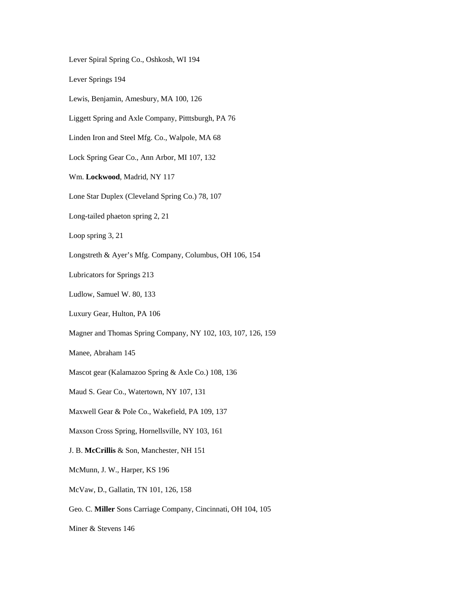Lever Spiral Spring Co., Oshkosh, WI 194

Lever Springs 194

Lewis, Benjamin, Amesbury, MA 100, 126

Liggett Spring and Axle Company, Pitttsburgh, PA 76

Linden Iron and Steel Mfg. Co., Walpole, MA 68

Lock Spring Gear Co., Ann Arbor, MI 107, 132

Wm. **Lockwood**, Madrid, NY 117

Lone Star Duplex (Cleveland Spring Co.) 78, 107

Long-tailed phaeton spring 2, 21

Loop spring 3, 21

Longstreth & Ayer's Mfg. Company, Columbus, OH 106, 154

Lubricators for Springs 213

Ludlow, Samuel W. 80, 133

Luxury Gear, Hulton, PA 106

Magner and Thomas Spring Company, NY 102, 103, 107, 126, 159

Manee, Abraham 145

Mascot gear (Kalamazoo Spring & Axle Co.) 108, 136

Maud S. Gear Co., Watertown, NY 107, 131

Maxwell Gear & Pole Co., Wakefield, PA 109, 137

Maxson Cross Spring, Hornellsville, NY 103, 161

J. B. **McCrillis** & Son, Manchester, NH 151

McMunn, J. W., Harper, KS 196

McVaw, D., Gallatin, TN 101, 126, 158

Geo. C. **Miller** Sons Carriage Company, Cincinnati, OH 104, 105

Miner & Stevens 146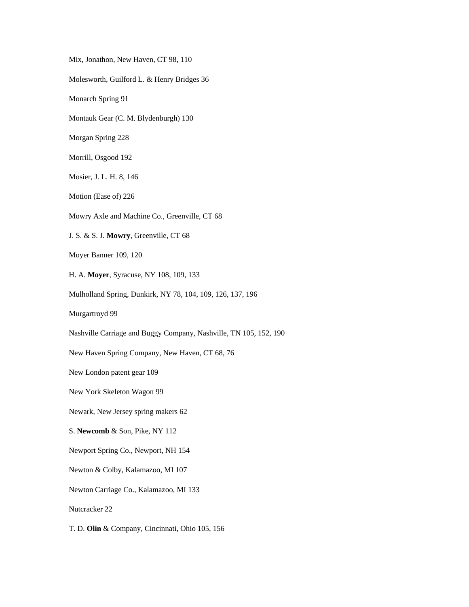Mix, Jonathon, New Haven, CT 98, 110 Molesworth, Guilford L. & Henry Bridges 36 Monarch Spring 91 Montauk Gear (C. M. Blydenburgh) 130 Morgan Spring 228 Morrill, Osgood 192 Mosier, J. L. H. 8, 146 Motion (Ease of) 226 Mowry Axle and Machine Co., Greenville, CT 68 J. S. & S. J. **Mowry**, Greenville, CT 68 Moyer Banner 109, 120 H. A. **Moyer**, Syracuse, NY 108, 109, 133 Mulholland Spring, Dunkirk, NY 78, 104, 109, 126, 137, 196 Murgartroyd 99 Nashville Carriage and Buggy Company, Nashville, TN 105, 152, 190 New Haven Spring Company, New Haven, CT 68, 76 New London patent gear 109 New York Skeleton Wagon 99 Newark, New Jersey spring makers 62 S. **Newcomb** & Son, Pike, NY 112 Newport Spring Co., Newport, NH 154 Newton & Colby, Kalamazoo, MI 107 Newton Carriage Co., Kalamazoo, MI 133 Nutcracker 22 T. D. **Olin** & Company, Cincinnati, Ohio 105, 156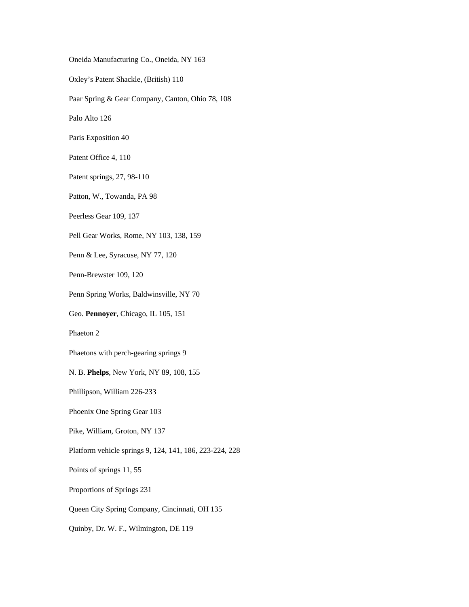Oneida Manufacturing Co., Oneida, NY 163 Oxley's Patent Shackle, (British) 110 Paar Spring & Gear Company, Canton, Ohio 78, 108 Palo Alto 126 Paris Exposition 40 Patent Office 4, 110 Patent springs, 27, 98-110 Patton, W., Towanda, PA 98 Peerless Gear 109, 137 Pell Gear Works, Rome, NY 103, 138, 159 Penn & Lee, Syracuse, NY 77, 120 Penn-Brewster 109, 120 Penn Spring Works, Baldwinsville, NY 70 Geo. **Pennoyer**, Chicago, IL 105, 151 Phaeton 2 Phaetons with perch-gearing springs 9 N. B. **Phelps**, New York, NY 89, 108, 155 Phillipson, William 226-233 Phoenix One Spring Gear 103 Pike, William, Groton, NY 137 Platform vehicle springs 9, 124, 141, 186, 223-224, 228 Points of springs 11, 55 Proportions of Springs 231 Queen City Spring Company, Cincinnati, OH 135

Quinby, Dr. W. F., Wilmington, DE 119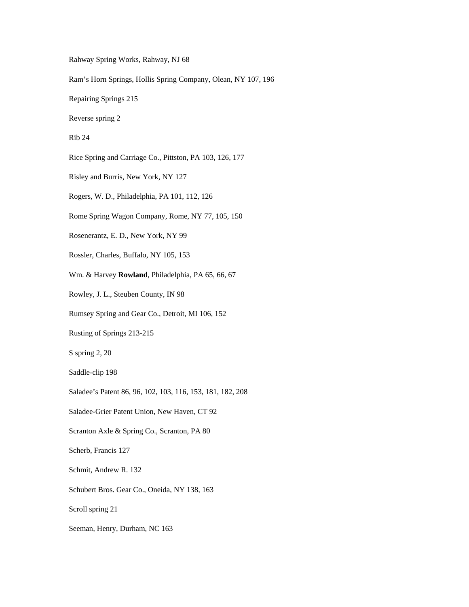Rahway Spring Works, Rahway, NJ 68

Ram's Horn Springs, Hollis Spring Company, Olean, NY 107, 196

Repairing Springs 215

Reverse spring 2

Rib 24

Rice Spring and Carriage Co., Pittston, PA 103, 126, 177

Risley and Burris, New York, NY 127

Rogers, W. D., Philadelphia, PA 101, 112, 126

Rome Spring Wagon Company, Rome, NY 77, 105, 150

Rosenerantz, E. D., New York, NY 99

Rossler, Charles, Buffalo, NY 105, 153

Wm. & Harvey **Rowland**, Philadelphia, PA 65, 66, 67

Rowley, J. L., Steuben County, IN 98

Rumsey Spring and Gear Co., Detroit, MI 106, 152

Rusting of Springs 213-215

S spring 2, 20

Saddle-clip 198

Saladee's Patent 86, 96, 102, 103, 116, 153, 181, 182, 208

Saladee-Grier Patent Union, New Haven, CT 92

Scranton Axle & Spring Co., Scranton, PA 80

Scherb, Francis 127

Schmit, Andrew R. 132

Schubert Bros. Gear Co., Oneida, NY 138, 163

Scroll spring 21

Seeman, Henry, Durham, NC 163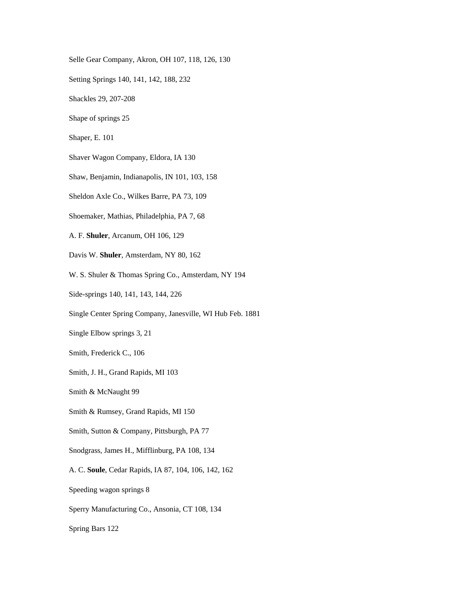Selle Gear Company, Akron, OH 107, 118, 126, 130

Setting Springs 140, 141, 142, 188, 232

Shackles 29, 207-208

Shape of springs 25

Shaper, E. 101

Shaver Wagon Company, Eldora, IA 130

Shaw, Benjamin, Indianapolis, IN 101, 103, 158

Sheldon Axle Co., Wilkes Barre, PA 73, 109

Shoemaker, Mathias, Philadelphia, PA 7, 68

A. F. **Shuler**, Arcanum, OH 106, 129

Davis W. **Shuler**, Amsterdam, NY 80, 162

W. S. Shuler & Thomas Spring Co., Amsterdam, NY 194

Side-springs 140, 141, 143, 144, 226

Single Center Spring Company, Janesville, WI Hub Feb. 1881

Single Elbow springs 3, 21

Smith, Frederick C., 106

Smith, J. H., Grand Rapids, MI 103

Smith & McNaught 99

Smith & Rumsey, Grand Rapids, MI 150

Smith, Sutton & Company, Pittsburgh, PA 77

Snodgrass, James H., Mifflinburg, PA 108, 134

A. C. **Soule**, Cedar Rapids, IA 87, 104, 106, 142, 162

Speeding wagon springs 8

Sperry Manufacturing Co., Ansonia, CT 108, 134

Spring Bars 122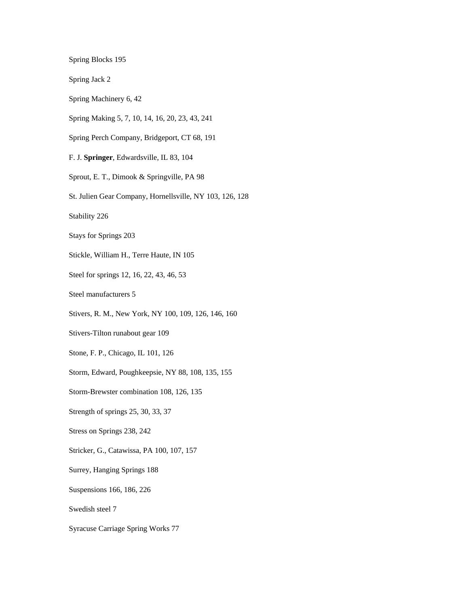Spring Blocks 195

Spring Jack 2

Spring Machinery 6, 42

Spring Making 5, 7, 10, 14, 16, 20, 23, 43, 241

Spring Perch Company, Bridgeport, CT 68, 191

F. J. **Springer**, Edwardsville, IL 83, 104

Sprout, E. T., Dimook & Springville, PA 98

St. Julien Gear Company, Hornellsville, NY 103, 126, 128

Stability 226

Stays for Springs 203

Stickle, William H., Terre Haute, IN 105

Steel for springs 12, 16, 22, 43, 46, 53

Steel manufacturers 5

Stivers, R. M., New York, NY 100, 109, 126, 146, 160

Stivers-Tilton runabout gear 109

Stone, F. P., Chicago, IL 101, 126

Storm, Edward, Poughkeepsie, NY 88, 108, 135, 155

Storm-Brewster combination 108, 126, 135

Strength of springs 25, 30, 33, 37

Stress on Springs 238, 242

Stricker, G., Catawissa, PA 100, 107, 157

Surrey, Hanging Springs 188

Suspensions 166, 186, 226

Swedish steel 7

Syracuse Carriage Spring Works 77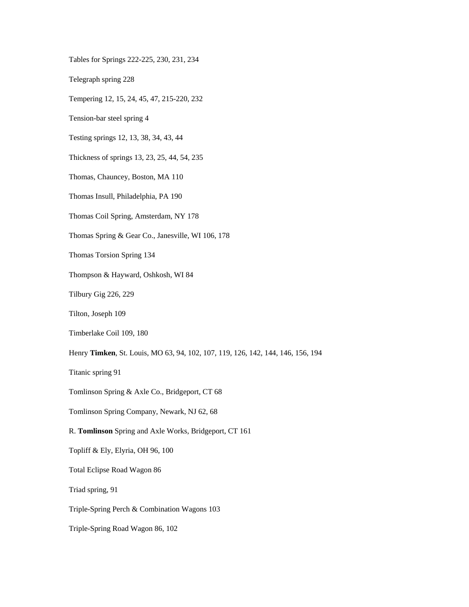Tables for Springs 222-225, 230, 231, 234

Telegraph spring 228

Tempering 12, 15, 24, 45, 47, 215-220, 232

Tension-bar steel spring 4

Testing springs 12, 13, 38, 34, 43, 44

Thickness of springs 13, 23, 25, 44, 54, 235

Thomas, Chauncey, Boston, MA 110

Thomas Insull, Philadelphia, PA 190

Thomas Coil Spring, Amsterdam, NY 178

Thomas Spring & Gear Co., Janesville, WI 106, 178

Thomas Torsion Spring 134

Thompson & Hayward, Oshkosh, WI 84

Tilbury Gig 226, 229

Tilton, Joseph 109

Timberlake Coil 109, 180

Henry **Timken**, St. Louis, MO 63, 94, 102, 107, 119, 126, 142, 144, 146, 156, 194

Titanic spring 91

Tomlinson Spring & Axle Co., Bridgeport, CT 68

Tomlinson Spring Company, Newark, NJ 62, 68

R. **Tomlinson** Spring and Axle Works, Bridgeport, CT 161

Topliff & Ely, Elyria, OH 96, 100

Total Eclipse Road Wagon 86

Triad spring, 91

Triple-Spring Perch & Combination Wagons 103

Triple-Spring Road Wagon 86, 102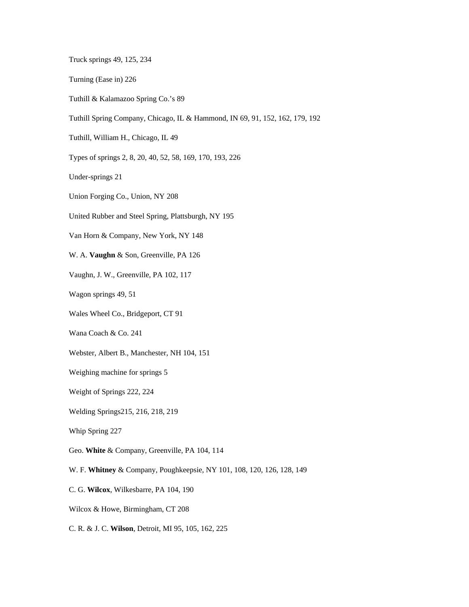Truck springs 49, 125, 234

- Turning (Ease in) 226
- Tuthill & Kalamazoo Spring Co.'s 89
- Tuthill Spring Company, Chicago, IL & Hammond, IN 69, 91, 152, 162, 179, 192
- Tuthill, William H., Chicago, IL 49
- Types of springs 2, 8, 20, 40, 52, 58, 169, 170, 193, 226

Under-springs 21

- Union Forging Co., Union, NY 208
- United Rubber and Steel Spring, Plattsburgh, NY 195

Van Horn & Company, New York, NY 148

W. A. **Vaughn** & Son, Greenville, PA 126

Vaughn, J. W., Greenville, PA 102, 117

Wagon springs 49, 51

Wales Wheel Co., Bridgeport, CT 91

Wana Coach & Co. 241

Webster, Albert B., Manchester, NH 104, 151

Weighing machine for springs 5

Weight of Springs 222, 224

Welding Springs215, 216, 218, 219

Whip Spring 227

Geo. **White** & Company, Greenville, PA 104, 114

W. F. **Whitney** & Company, Poughkeepsie, NY 101, 108, 120, 126, 128, 149

C. G. **Wilcox**, Wilkesbarre, PA 104, 190

Wilcox & Howe, Birmingham, CT 208

C. R. & J. C. **Wilson**, Detroit, MI 95, 105, 162, 225